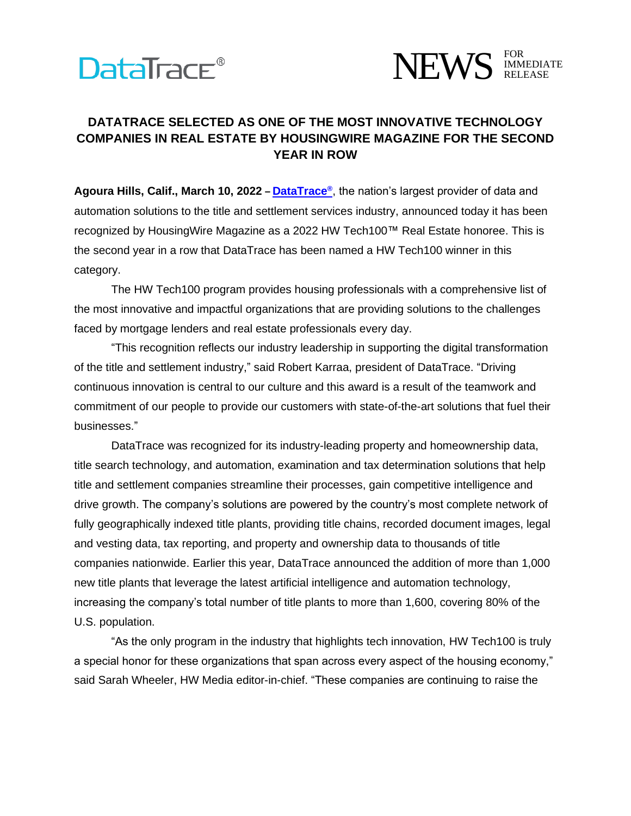## **DataTrace®**



## **DATATRACE SELECTED AS ONE OF THE MOST INNOVATIVE TECHNOLOGY COMPANIES IN REAL ESTATE BY HOUSINGWIRE MAGAZINE FOR THE SECOND YEAR IN ROW**

**Agoura Hills, Calif., March 10, 2022 – [DataTrace](https://www.datatracetitle.com/)®** , the nation's largest provider of data and automation solutions to the title and settlement services industry, announced today it has been recognized by HousingWire Magazine as a 2022 HW Tech100™ Real Estate honoree. This is the second year in a row that DataTrace has been named a HW Tech100 winner in this category.

The HW Tech100 program provides housing professionals with a comprehensive list of the most innovative and impactful organizations that are providing solutions to the challenges faced by mortgage lenders and real estate professionals every day.

"This recognition reflects our industry leadership in supporting the digital transformation of the title and settlement industry," said Robert Karraa, president of DataTrace. "Driving continuous innovation is central to our culture and this award is a result of the teamwork and commitment of our people to provide our customers with state-of-the-art solutions that fuel their businesses."

DataTrace was recognized for its industry-leading property and homeownership data, title search technology, and automation, examination and tax determination solutions that help title and settlement companies streamline their processes, gain competitive intelligence and drive growth. The company's solutions are powered by the country's most complete network of fully geographically indexed title plants, providing title chains, recorded document images, legal and vesting data, tax reporting, and property and ownership data to thousands of title companies nationwide. Earlier this year, DataTrace announced the addition of more than 1,000 new title plants that leverage the latest artificial intelligence and automation technology, increasing the company's total number of title plants to more than 1,600, covering 80% of the U.S. population.

"As the only program in the industry that highlights tech innovation, HW Tech100 is truly a special honor for these organizations that span across every aspect of the housing economy," said Sarah Wheeler, HW Media editor-in-chief. "These companies are continuing to raise the